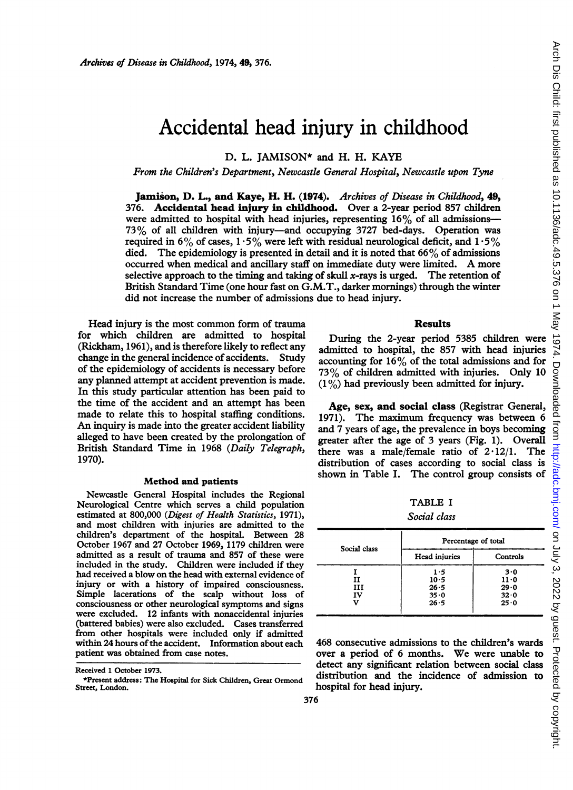# Accidental head injury in childhood

### D. L. JAMISON\* and H. H. KAYE

#### From the Children's Department, Newcastle General Hospital, Newcastle upon Tyne

Jamison, D. L., and Kaye, H. H. (1974). Archives of Disease in Childhood, 49, 376. Accidental head injury in childhood. Over a 2-year period 857 children were admitted to hospital with head injuries, representing  $16\%$  of all admissions-73% of all children with injury--and occupying 3727 bed-days. Operation was required in 6% of cases,  $1.5\%$  were left with residual neurological deficit, and  $1.5\%$ died. The epidemiology is presented in detail and it is noted that  $66\%$  of admissions occurred when medical and ancillary staff on immediate duty were limited. A more selective approach to the timing and taking of skull  $x$ -rays is urged. The retention of British Standard Time (one hour fast on G.M.T., darker mornings) through the winter did not increase the number of admissions due to head injury.

Head injury is the most common form of trauma for which children are admitted to hospital (Rickham, 1961), and is therefore likely to reflect any change in the general incidence of accidents. Study of the epidemiology of accidents is necessary before any planned attempt at accident prevention is made. In this study particular attention has been paid to the time of the accident and an attempt has been made to relate this to hospital staffing conditions. An inquiry is made into the greater accident liability alleged to have been created by the prolongation of British Standard Time in 1968 (Daily Telegraph, 1970).

#### Method and patients

Newcastle General Hospital includes the Regional Neurological Centre which serves a child population estimated at 800,000 (Digest of Health Statistics, 1971), and most children with injuries are admitted to the children's department of the hospital. Between 28 October 1967 and 27 October 1969, 1179 children were admitted as a result of trauma and 857 of these were included in the study. Children were included if they had received a blow on the head with external evidence of injury or with a history of impaired consciousness. Simple lacerations of the scalp without loss of consciousness or other neurological symptoms and signs were excluded. 12 infants with nonaccidental injuries (battered babies) were also excluded. Cases transferred from other hospitals were included only if admitted within 24 hours of the accident. Information about each patient was obtained from case notes.

#### Results

During the 2-year period 5385 children were admitted to hospital, the 857 with head injuries accounting for  $16\%$  of the total admissions and for 73% of children admitted with injuries. Only 10  $(1\%)$  had previously been admitted for injury.

Age, sex, and social class (Registrar General, 1971). The maximum frequency was between 6 and 7 years of age, the prevalence in boys becoming greater after the age of 3 years (Fig. 1). Overall there was a male/female ratio of  $2.12/1$ . The distribution of cases according to social class is shown in Table I. The control group consists of

TABLE <sup>I</sup>

Social class

| Social class | Percentage of total                     |                                     |  |  |
|--------------|-----------------------------------------|-------------------------------------|--|--|
|              | Head injuries                           | Controls                            |  |  |
| н<br>ш<br>IV | 1.5<br>10.5<br>$26 - 5$<br>35.0<br>26.5 | 3.0<br>11.0<br>29.0<br>32.0<br>25.0 |  |  |

468 consecutive admissions to the children's wards over <sup>a</sup> period of <sup>6</sup> months. We were unable to detect any significant relation between social class distribution and the incidence of admission to hospital for head injury.

Received <sup>1</sup> October 1973.

<sup>\*</sup>Present address: The Hospital for Sick Children, Great Ormond Street, London.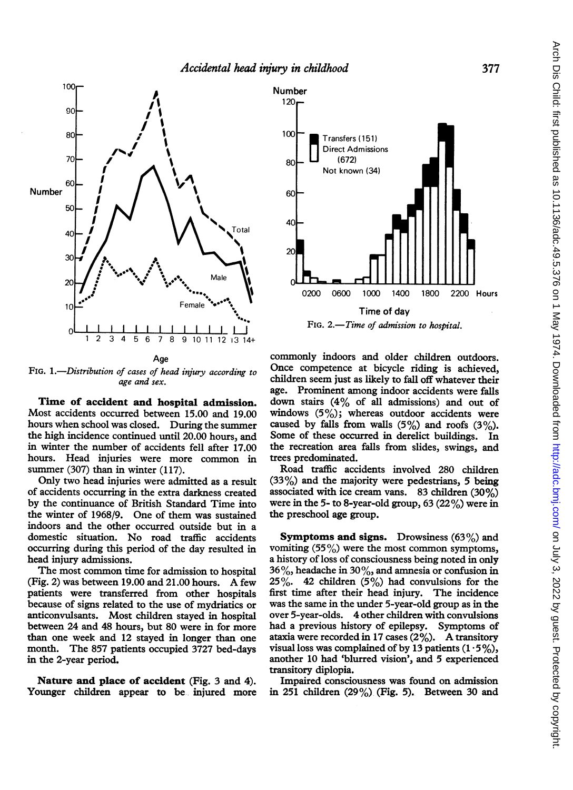

FIG. 1.-Distribution of cases of head injury according to age and sex.

Time of accident and hospital admission. Most accidents occurred between 15.00 and 19.00 hours when school was closed. During the summer the high incidence continued until 20.00 hours, and in winter the number of accidents fell after 17.00 hours. Head injuries were more common in summer (307) than in winter (117).

Only two head injuries were admitted as a result of accidents occurring in the extra darkness created by the continuance of British Standard Time into the winter of 1968/9. One of them was sustained indoors and the other occurred outside but in a domestic situation. No road traffic accidents occurring during this period of the day resulted in head injury admissions.

The most common time for admission to hospital (Fig. 2) was between 19.00 and 21.00 hours. A few patients were transferred from other hospitals because of signs related to the use of mydriatics or anticonvulsants. Most children stayed in hospital between 24 and 48 hours, but 80 were in for more than one week and 12 stayed in longer than one month. The 857 patients occupied 3727 bed-days in the 2-year period.

Nature and place of accident (Fig. 3 and 4). Younger children appear to be injured more



FIG. 2.-Time of admission to hospital.

commonly indoors and older children outdoors. Once competence at bicycle riding is achieved, children seem just as likely to fall off whatever their age. Prominent among indoor accidents were falls down stairs (4% of all admissions) and out of windows  $(5\%)$ ; whereas outdoor accidents were caused by falls from walls  $(5\%)$  and roofs  $(3\%)$ . Some of these occurred in derelict buildings. In the recreation area falls from slides, swings, and trees predominated.

Road traffic accidents involved 280 children (33%) and the majority were pedestrians, 5 being associated with ice cream vans. 83 children (30%) were in the 5- to 8-year-old group,  $63 (22%)$  were in the preschool age group.

**Symptoms and signs.** Drowsiness  $(63\%)$  and vomiting  $(55\%)$  were the most common symptoms, a history of loss of consciousness being noted in only 36%, headache in 30%, and amnesia or confusion in  $25\%$ . 42 children  $(5\%)$  had convulsions for the first time after their head injury. The incidence was the same in the under 5-year-old group as in the over 5-year-olds. 4 other children with convulsions had a previous history of epilepsy. Symptoms of ataxia were recorded in <sup>17</sup> cases (2%). A transitory visual loss was complained of by 13 patients  $(1.5\%)$ , another 10 had 'blurred vision', and 5 experienced transitory diplopia.

Impaired consciousness was found on admission in 251 children (29%) (Fig. 5). Between 30 and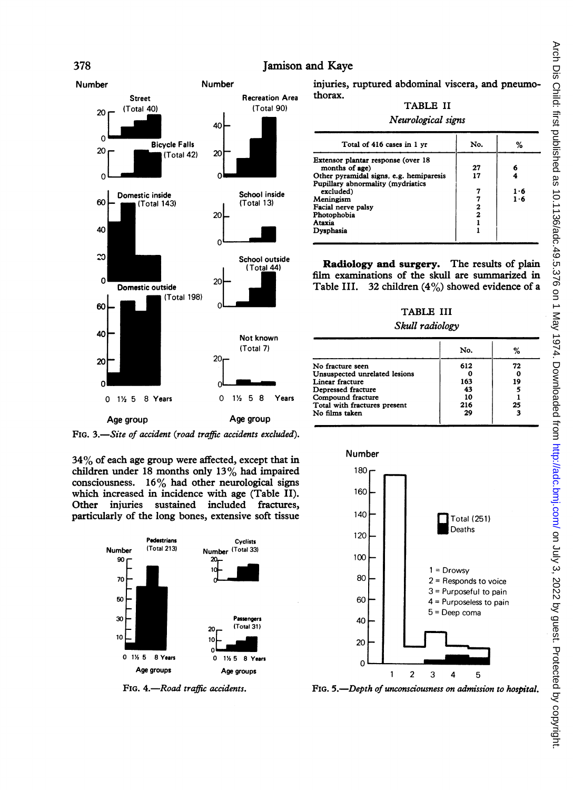## 378 Jamison and Kaye



FIG. 3.-Site of accident (road traffic accidents excluded).

34% of each age group were affected, except that in children under 18 months only 13% had impaired consciousness.  $16\%$  had other neurological signs which increased in incidence with age (Table II). Other injuries sustained included fractures, particularly of the long bones, extensive soft tissue



FIG. 4.-Road traffic accidents.

injuries, ruptured abdominal viscera, and pneumothorax.

## TABLE II

#### Neurological signs

| Total of 416 cases in 1 yr                                                                                                                                                                                                 | No.                | %               |
|----------------------------------------------------------------------------------------------------------------------------------------------------------------------------------------------------------------------------|--------------------|-----------------|
| Extensor plantar response (over 18<br>months of age)<br>Other pyramidal signs, e.g. hemiparesis<br>Pupillary abnormality (mydriatics<br>excluded)<br>Meningism<br>Facial nerve palsy<br>Photophobia<br>Ataxia<br>Dysphasia | 27<br>17<br>2<br>2 | 6<br>1.6<br>1.6 |

Radiology and surgery. The results of plain film examinations of the skull are summarized in Table III. 32 children  $(4\%)$  showed evidence of a

#### TABLE III

#### Skull radiology

|                               | No. | ℅  |
|-------------------------------|-----|----|
| No fracture seen              | 612 | 72 |
| Unsuspected unrelated lesions |     | 0  |
| Linear fracture               | 163 | 19 |
| Depressed fracture            | 43  |    |
| Compound fracture             | 10  |    |
| Total with fractures present  | 216 | 25 |
| No films taken                | 29  | я  |



FIG. 5.-Depth of unconsciousness on admission to hospital.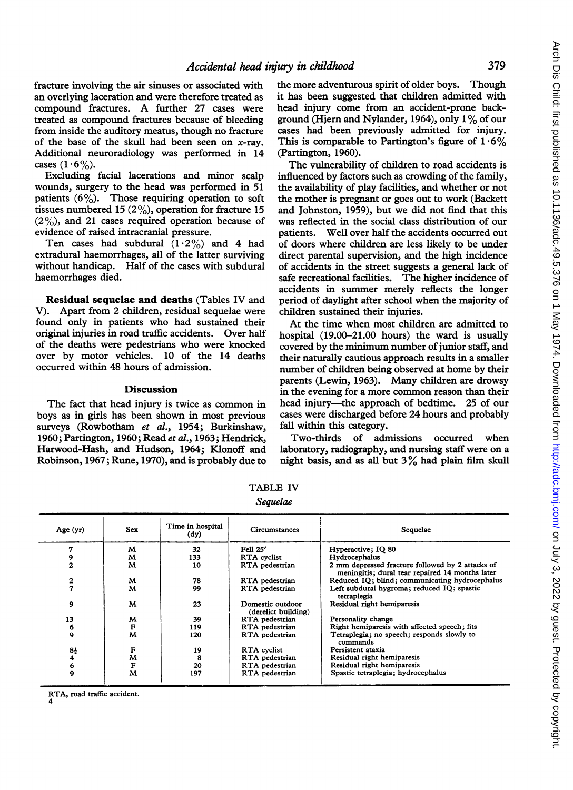fracture involving the air sinuses or associated with an overlying laceration and were therefore treated as compound fractures. A further <sup>27</sup> cases were treated as compound fractures because of bleeding from inside the auditory meatus, though no fracture of the base of the skull had been seen on  $x$ -ray. Additional neuroradiology was performed in 14 cases  $(1.6\%)$ .

Excluding facial lacerations and minor scalp wounds, surgery to the head was performed in 51 patients  $(6\%)$ . Those requiring operation to soft tissues numbered 15 (2%), operation for fracture 15  $(2\%)$ , and 21 cases required operation because of evidence of raised intracranial pressure.

Ten cases had subdural  $(1.2\%)$  and 4 had extradural haemorrhages, all of the latter surviving without handicap. Half of the cases with subdural haemorrhages died.

Residual sequelae and deaths (Tables IV and V). Apart from 2 children, residual sequelae were found only in patients who had sustained their original injuries in road traffic accidents. Over half of the deaths were pedestrians who were knocked over by motor vehicles. 10 of the 14 deaths occurred within 48 hours of admission.

#### Discussion

The fact that head injury is twice as common in boys as in girls has been shown in most previous surveys (Rowbotham et al., 1954; Burkinshaw, 1960; Partington, 1960; Read et al., 1963; Hendrick, Harwood-Hash, and Hudson, 1964; Klonoff and Robinson, 1967; Rune, 1970), and is probably due to

the more adventurous spirit of older boys. Though it has been suggested that children admitted with head injury come from an accident-prone background (Hjern and Nylander, 1964), only 1% of our cases had been previously admitted for injury. This is comparable to Partington's figure of  $1.6\%$ (Partington, 1960).

The vulnerability of children to road accidents is influenced by factors such as crowding of the family, the availability of play facilities, and whether or not the mother is pregnant or goes out to work (Backett and Johnston, 1959), but we did not find that this was reflected in the social class distribution of our patients. Well over half the accidents occurred out of doors where children are less likely to be under direct parental supervision, and the high incidence of accidents in the street suggests a general lack of safe recreational facilities. The higher incidence of accidents in summer merely reflects the longer period of daylight after school when the majority of children sustained their injuries.

At the time when most children are admitted to hospital (19.00-21.00 hours) the ward is usually covered by the minimum number of junior staff, and their naturally cautious approach results in a smaller number of children being observed at home by their parents (Lewin, 1963). Many children are drowsy in the evening for a more common reason than their head injury----the approach of bedtime. 25 of our cases were discharged before 24 hours and probably fall within this category.

Two-thirds of admissions occurred when laboratory, radiography, and nursing staff were on a night basis, and as all but <sup>3</sup>% had plain film skull

| Age $(yr)$       | <b>Sex</b> | Time in hospital<br>(dy) | <b>Circumstances</b>                    | Sequelae                                                                                            |
|------------------|------------|--------------------------|-----------------------------------------|-----------------------------------------------------------------------------------------------------|
| 7                | M          | 32                       | Fell 25'                                | Hyperactive: IO 80                                                                                  |
| 9                | M          | 133                      | <b>RTA</b> cyclist                      | Hydrocephalus                                                                                       |
| $\overline{2}$   | M          | 10                       | RTA pedestrian                          | 2 mm depressed fracture followed by 2 attacks of<br>meningitis; dural tear repaired 14 months later |
| 2                | M          | 78                       | RTA pedestrian                          | Reduced IO; blind; communicating hydrocephalus                                                      |
| 7                | M          | 99                       | RTA pedestrian                          | Left subdural hygroma; reduced IQ; spastic<br>tetraplegia                                           |
| 9                | м          | 23                       | Domestic outdoor<br>(derelict building) | Residual right hemiparesis                                                                          |
| 13               | M          | 39                       | RTA pedestrian                          | Personality change                                                                                  |
| 6                | F          | 119                      | RTA pedestrian                          | Right hemiparesis with affected speech; fits                                                        |
| $\boldsymbol{9}$ | M          | 120                      | RTA pedestrian                          | Tetraplegia; no speech; responds slowly to<br>commands                                              |
| 8ł               | F          | 19                       | RTA cyclist                             | Persistent ataxia                                                                                   |
| 4                | M          | 8                        | RTA pedestrian                          | Residual right hemiparesis                                                                          |
| 6                | ${\bf F}$  | 20                       | RTA pedestrian                          | Residual right hemiparesis                                                                          |
| 9                | M          | 197                      | RTA pedestrian                          | Spastic tetraplegia; hydrocephalus                                                                  |
|                  |            |                          |                                         |                                                                                                     |

TABLE IV

Sequelae

RTA, road traffic accident. 4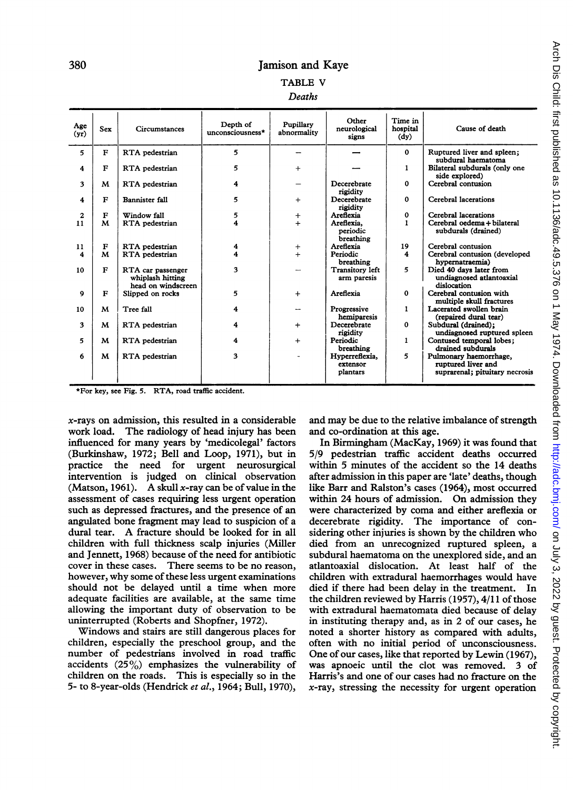## 380 Jamison and Kaye TABLE V

| Age<br>(yr)         | <b>Sex</b>   | Circumstances                                               | Depth of<br>unconsciousness* | Pupillary<br>abnormality | Other<br>neurological<br>signs         | Time in<br>hospital<br>(dy) | Cause of death                                                                 |
|---------------------|--------------|-------------------------------------------------------------|------------------------------|--------------------------|----------------------------------------|-----------------------------|--------------------------------------------------------------------------------|
| 5                   | F            | RTA pedestrian                                              | 5                            |                          |                                        | $\mathbf 0$                 | Ruptured liver and spleen:<br>subdural haematoma                               |
| 4                   | F            | RTA pedestrian                                              | 5                            | $+$                      |                                        | 1                           | Bilateral subdurals (only one<br>side explored)                                |
| 3                   | M            | RTA pedestrian                                              | 4                            |                          | Decerebrate<br>rigidity                | $\mathbf 0$                 | Cerebral contusion                                                             |
| $\overline{\bf{4}}$ | F            | <b>Bannister fall</b>                                       | 5                            | $+$                      | Decerebrate<br>rigidity                | $\mathbf 0$                 | Cerebral lacerations                                                           |
| $\mathbf{2}$        | F            | Window fall                                                 | 5                            | $\ddot{}$                | Areflexia                              | $\mathbf 0$                 | Cerebral lacerations                                                           |
| 11                  | M            | RTA pedestrian                                              | 4                            | $\ddot{}$                | Areflexia.<br>periodic<br>breathing    | 1                           | Cerebral oedema + bilateral<br>subdurals (drained)                             |
| 11                  | F            | RTA pedestrian                                              | 4                            | $\mathrm{+}$             | Areflexia                              | 19                          | Cerebral contusion                                                             |
| 4                   | M            | RTA pedestrian                                              | 4                            | $\ddot{+}$               | Periodic<br>breathing                  | $\overline{\bf{4}}$         | Cerebral contusion (developed<br>hypernatraemia)                               |
| 10                  | $\mathbf{F}$ | RTA car passenger<br>whiplash hitting<br>head on windscreen | 3                            |                          | <b>Transitory left</b><br>arm paresis  | 5                           | Died 40 days later from<br>undiagnosed atlantoaxial<br>dislocation             |
| 9                   | F            | Slipped on rocks                                            | 5                            | $+$                      | Areflexia                              | 0                           | Cerebral contusion with<br>multiple skull fractures                            |
| 10                  | M            | Tree fall                                                   | 4                            |                          | Progressive<br>hemiparesis             | 1                           | Lacerated swollen brain<br>(repaired dural tear)                               |
| 3                   | м            | RTA pedestrian                                              | 4                            | $+$                      | Decerebrate<br>rigidity                | $\Omega$                    | Subdural (drained);<br>undiagnosed ruptured spleen                             |
| 5                   | м            | RTA pedestrian                                              | 4                            | $+$                      | Periodic<br>breathing                  | $\mathbf{1}$                | Contused temporal lobes;<br>drained subdurals                                  |
| 6                   | M            | RTA pedestrian                                              | 3                            |                          | Hyperreflexia,<br>extensor<br>plantars | 5                           | Pulmonary haemorrhage,<br>ruptured liver and<br>suprarenal; pituitary necrosis |

\*For key, see Fig. 5. RTA, road traffic accident.

 $x$ -rays on admission, this resulted in a considerable work load. The radiology of head injury has been influenced for many years by 'medicolegal' factors (Burkinshaw, 1972; Bell and Loop, 1971), but in practice the need for urgent neurosurgical intervention is judged on clinical observation (Matson, 1961). A skull x-ray can be of value in the assessment of cases requiring less urgent operation such as depressed fractures, and the presence of an angulated bone fragment may lead to suspicion of a dural tear. A fracture should be looked for in all children with full thickness scalp injuries (Miller and Jennett, 1968) because of the need for antibiotic cover in these cases. There seems to be no reason, however, why some of these less urgent examinations should not be delayed until a time when more adequate facilities are available, at the same time allowing the important duty of observation to be uninterrupted (Roberts and Shopfner, 1972).

Windows and stairs are still dangerous places for children, especially the preschool group, and the number of pedestrians involved in road traffic accidents (25%) emphasizes the vulnerability of children on the roads. This is especially so in the 5- to 8-year-olds (Hendrick et al., 1964; Bull, 1970),

and may be due to the relative imbalance of strength and co-ordination at this age.

In Birmingham (MacKay, 1969) it was found that 5/9 pedestrian traffic accident deaths occurred within 5 minutes of the accident so the 14 deaths after admission in this paper are 'late' deaths, though like Barr and Ralston's cases (1964), most occurred within 24 hours of admission. On admission they were characterized by coma and either areflexia or decerebrate rigidity. The importance of considering other injuries is shown by the children who died from an unrecognized ruptured spleen, a subdural haematoma on the unexplored side, and an atlantoaxial dislocation. At least half of the children with extradural haemorrhages would have died if there had been delay in the treatment. In the children reviewed by Harris (1957), 4/11 of those with extradural haematomata died because of delay in instituting therapy and, as in 2 of our cases, he noted a shorter history as compared with adults, often with no initial period of unconsciousness. One of our cases, like that reported by Lewin (1967), was apnoeic until the clot was removed. 3 of Harris's and one of our cases had no fracture on the  $x$ -ray, stressing the necessity for urgent operation